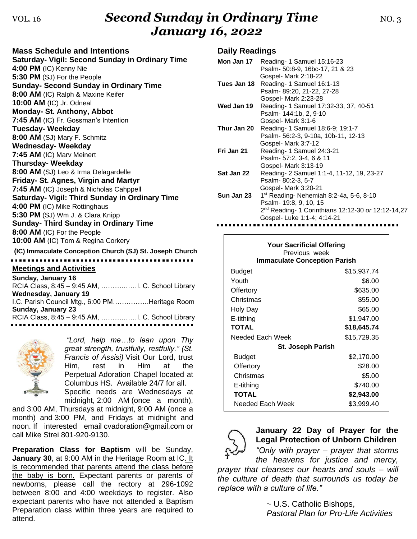### VOL. 16 **Second Sunday in Ordinary Time NO. 3** NO. 3 *January 16, 2022*

| <b>Mass Schedule and Intentions</b>                      |
|----------------------------------------------------------|
| <b>Saturday- Vigil: Second Sunday in Ordinary Time</b>   |
| 4:00 PM (IC) Kenny Nie                                   |
| 5:30 PM (SJ) For the People                              |
| <b>Sunday- Second Sunday in Ordinary Time</b>            |
| 8:00 AM (IC) Ralph & Maxine Keifer                       |
| 10:00 AM (IC) Jr. Odneal                                 |
| Monday- St. Anthony, Abbot                               |
| 7:45 AM (IC) Fr. Gossman's Intention                     |
| <b>Tuesday-Weekday</b>                                   |
| 8:00 AM (SJ) Mary F. Schmitz                             |
| <b>Wednesday- Weekday</b>                                |
| 7:45 AM (IC) Marv Meinert                                |
| <b>Thursday-Weekday</b>                                  |
| 8:00 AM (SJ) Leo & Irma Delagardelle                     |
| Friday- St. Agnes, Virgin and Martyr                     |
| 7:45 AM (IC) Joseph & Nicholas Cahppell                  |
| Saturday- Vigil: Third Sunday in Ordinary Time           |
| 4:00 PM (IC) Mike Rottinghaus                            |
| 5:30 PM (SJ) Wm J. & Clara Knipp                         |
| <b>Sunday- Third Sunday in Ordinary Time</b>             |
| 8:00 AM (IC) For the People                              |
| 10:00 AM (IC) Tom & Regina Corkery                       |
| (IC) Immaculate Conception Church (SJ) St. Joseph Church |
|                                                          |
| <b>Meetings and Activities</b><br>Cundow Jonuary 40      |

| Sunday, January 16                             |
|------------------------------------------------|
|                                                |
| Wednesday, January 19                          |
| I.C. Parish Council Mtg., 6:00 PMHeritage Room |
| Sunday, January 23                             |
|                                                |
|                                                |



*"Lord, help me…to lean upon Thy great strength, trustfully, restfully." (St. Francis of Assisi)* Visit Our Lord, trust Him, rest in Him at the Perpetual Adoration Chapel located at Columbus HS. Available 24/7 for all.

Specific needs are Wednesdays at midnight, 2:00 AM (once a month),

and 3:00 AM, Thursdays at midnight, 9:00 AM (once a month) and 3:00 PM, and Fridays at midnight and noon. If interested email [cvadoration@gmail.com](mailto:cvadoration@gmail.com) or call Mike Strei 801-920-9130.

**Preparation Class for Baptism** will be Sunday, **January 30, at 9:00 AM in the Heritage Room at IC. It** is recommended that parents attend the class before the baby is born. Expectant parents or parents of newborns, please call the rectory at 296-1092 between 8:00 and 4:00 weekdays to register. Also expectant parents who have not attended a Baptism Preparation class within three years are required to attend.

#### **Daily Readings**

|             | Mon Jan 17 Reading- 1 Samuel 15:16-23                          |
|-------------|----------------------------------------------------------------|
|             | Psalm- 50:8-9, 16bc-17, 21 & 23                                |
|             | Gospel- Mark 2:18-22                                           |
| Tues Jan 18 | Reading-1 Samuel 16:1-13                                       |
|             | Psalm-89:20, 21-22, 27-28                                      |
|             | Gospel- Mark 2:23-28                                           |
| Wed Jan 19  | Reading- 1 Samuel 17:32-33, 37, 40-51                          |
|             | Psalm-144:1b, 2, 9-10                                          |
|             | Gospel- Mark 3:1-6                                             |
| Thur Jan 20 | Reading- 1 Samuel 18:6-9; 19:1-7                               |
|             | Psalm- 56:2-3, 9-10a, 10b-11, 12-13                            |
|             | Gospel- Mark 3:7-12                                            |
| Fri Jan 21  | Reading- 1 Samuel 24:3-21                                      |
|             | Psalm- 57:2, 3-4, 6 & 11                                       |
|             | Gospel- Mark 3:13-19                                           |
| Sat Jan 22  | Reading- 2 Samuel 1:1-4, 11-12, 19, 23-27                      |
|             | Psalm-80:2-3, 5-7                                              |
|             | Gospel- Mark 3:20-21                                           |
| Sun Jan 23  | 1 <sup>st</sup> Reading- Nehemiah 8:2-4a, 5-6, 8-10            |
|             | Psalm- 19:8, 9, 10, 15                                         |
|             | 2 <sup>nd</sup> Reading- 1 Corinthians 12:12-30 or 12:12-14,27 |
|             | Gospel- Luke 1:1-4; 4:14-21                                    |
|             |                                                                |

| <b>Your Sacrificial Offering</b><br>Previous week<br><b>Immaculate Conception Parish</b> |             |  |  |
|------------------------------------------------------------------------------------------|-------------|--|--|
| Budget                                                                                   | \$15,937.74 |  |  |
| Youth                                                                                    | \$6.00      |  |  |
| Offertory                                                                                | \$635.00    |  |  |
| Christmas                                                                                | \$55.00     |  |  |
| Holy Day                                                                                 | \$65.00     |  |  |
| E-tithing                                                                                | \$1,947.00  |  |  |
| <b>TOTAL</b>                                                                             | \$18,645.74 |  |  |
| Needed Each Week                                                                         | \$15,729.35 |  |  |
| <b>St. Joseph Parish</b>                                                                 |             |  |  |
| Budget                                                                                   | \$2,170.00  |  |  |
| Offertory                                                                                | \$28.00     |  |  |
| Christmas                                                                                | \$5.00      |  |  |
| E-tithing                                                                                | \$740.00    |  |  |
| TOTAL                                                                                    | \$2,943.00  |  |  |
| Needed Each Week                                                                         | \$3,999.40  |  |  |



**January 22 Day of Prayer for the Legal Protection of Unborn Children**

*"Only with prayer – prayer that storms* 

*the heavens for justice and mercy, prayer that cleanses our hearts and souls – will the culture of death that surrounds us today be replace with a culture of life."*

> ~ U.S. Catholic Bishops, *Pastoral Plan for Pro-Life Activities*